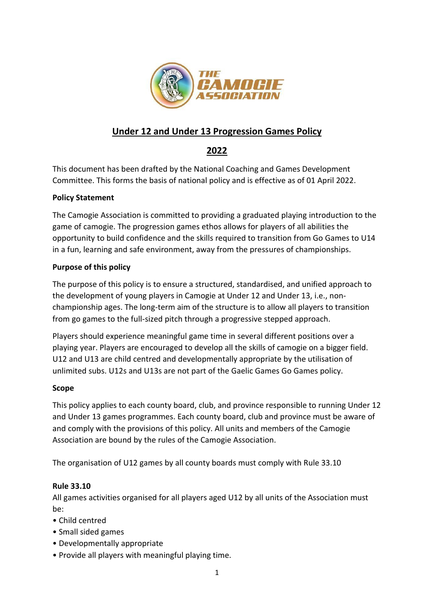

# **Under 12 and Under 13 Progression Games Policy**

## **2022**

This document has been drafted by the National Coaching and Games Development Committee. This forms the basis of national policy and is effective as of 01 April 2022.

## **Policy Statement**

The Camogie Association is committed to providing a graduated playing introduction to the game of camogie. The progression games ethos allows for players of all abilities the opportunity to build confidence and the skills required to transition from Go Games to U14 in a fun, learning and safe environment, away from the pressures of championships.

## **Purpose of this policy**

The purpose of this policy is to ensure a structured, standardised, and unified approach to the development of young players in Camogie at Under 12 and Under 13, i.e., nonchampionship ages. The long-term aim of the structure is to allow all players to transition from go games to the full-sized pitch through a progressive stepped approach.

Players should experience meaningful game time in several different positions over a playing year. Players are encouraged to develop all the skills of camogie on a bigger field. U12 and U13 are child centred and developmentally appropriate by the utilisation of unlimited subs. U12s and U13s are not part of the Gaelic Games Go Games policy.

### **Scope**

This policy applies to each county board, club, and province responsible to running Under 12 and Under 13 games programmes. Each county board, club and province must be aware of and comply with the provisions of this policy. All units and members of the Camogie Association are bound by the rules of the Camogie Association.

The organisation of U12 games by all county boards must comply with Rule 33.10

## **Rule 33.10**

All games activities organised for all players aged U12 by all units of the Association must be:

- Child centred
- Small sided games
- Developmentally appropriate
- Provide all players with meaningful playing time.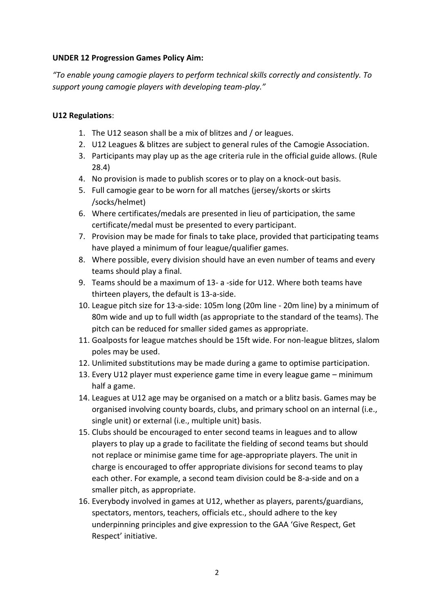#### **UNDER 12 Progression Games Policy Aim:**

*"To enable young camogie players to perform technical skills correctly and consistently. To support young camogie players with developing team-play."*

### **U12 Regulations**:

- 1. The U12 season shall be a mix of blitzes and / or leagues.
- 2. U12 Leagues & blitzes are subject to general rules of the Camogie Association.
- 3. Participants may play up as the age criteria rule in the official guide allows. (Rule 28.4)
- 4. No provision is made to publish scores or to play on a knock-out basis.
- 5. Full camogie gear to be worn for all matches (jersey/skorts or skirts /socks/helmet)
- 6. Where certificates/medals are presented in lieu of participation, the same certificate/medal must be presented to every participant.
- 7. Provision may be made for finals to take place, provided that participating teams have played a minimum of four league/qualifier games.
- 8. Where possible, every division should have an even number of teams and every teams should play a final.
- 9. Teams should be a maximum of 13- a -side for U12. Where both teams have thirteen players, the default is 13-a-side.
- 10. League pitch size for 13-a-side: 105m long (20m line 20m line) by a minimum of 80m wide and up to full width (as appropriate to the standard of the teams). The pitch can be reduced for smaller sided games as appropriate.
- 11. Goalposts for league matches should be 15ft wide. For non-league blitzes, slalom poles may be used.
- 12. Unlimited substitutions may be made during a game to optimise participation.
- 13. Every U12 player must experience game time in every league game minimum half a game.
- 14. Leagues at U12 age may be organised on a match or a blitz basis. Games may be organised involving county boards, clubs, and primary school on an internal (i.e., single unit) or external (i.e., multiple unit) basis.
- 15. Clubs should be encouraged to enter second teams in leagues and to allow players to play up a grade to facilitate the fielding of second teams but should not replace or minimise game time for age-appropriate players. The unit in charge is encouraged to offer appropriate divisions for second teams to play each other. For example, a second team division could be 8-a-side and on a smaller pitch, as appropriate.
- 16. Everybody involved in games at U12, whether as players, parents/guardians, spectators, mentors, teachers, officials etc., should adhere to the key underpinning principles and give expression to the GAA 'Give Respect, Get Respect' initiative.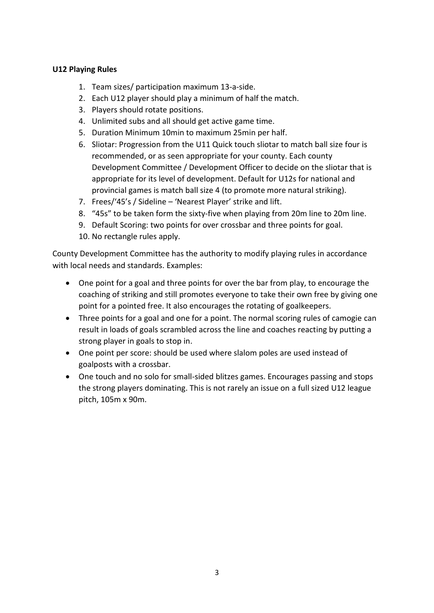### **U12 Playing Rules**

- 1. Team sizes/ participation maximum 13-a-side.
- 2. Each U12 player should play a minimum of half the match.
- 3. Players should rotate positions.
- 4. Unlimited subs and all should get active game time.
- 5. Duration Minimum 10min to maximum 25min per half.
- 6. Sliotar: Progression from the U11 Quick touch sliotar to match ball size four is recommended, or as seen appropriate for your county. Each county Development Committee / Development Officer to decide on the sliotar that is appropriate for its level of development. Default for U12s for national and provincial games is match ball size 4 (to promote more natural striking).
- 7. Frees/'45's / Sideline 'Nearest Player' strike and lift.
- 8. "45s" to be taken form the sixty-five when playing from 20m line to 20m line.
- 9. Default Scoring: two points for over crossbar and three points for goal.
- 10. No rectangle rules apply.

County Development Committee has the authority to modify playing rules in accordance with local needs and standards. Examples:

- One point for a goal and three points for over the bar from play, to encourage the coaching of striking and still promotes everyone to take their own free by giving one point for a pointed free. It also encourages the rotating of goalkeepers.
- Three points for a goal and one for a point. The normal scoring rules of camogie can result in loads of goals scrambled across the line and coaches reacting by putting a strong player in goals to stop in.
- One point per score: should be used where slalom poles are used instead of goalposts with a crossbar.
- One touch and no solo for small-sided blitzes games. Encourages passing and stops the strong players dominating. This is not rarely an issue on a full sized U12 league pitch, 105m x 90m.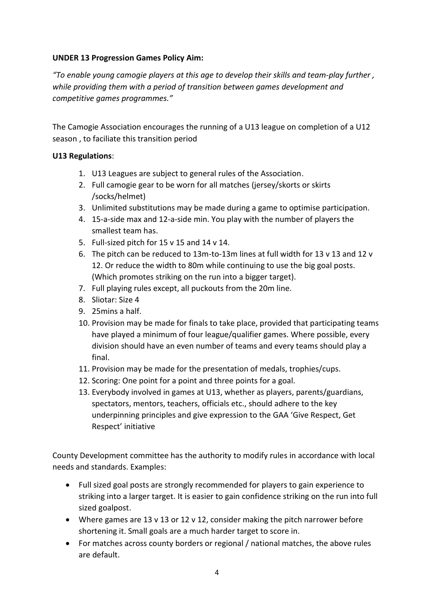### **UNDER 13 Progression Games Policy Aim:**

*"To enable young camogie players at this age to develop their skills and team-play further , while providing them with a period of transition between games development and competitive games programmes."*

The Camogie Association encourages the running of a U13 league on completion of a U12 season , to faciliate this transition period

## **U13 Regulations**:

- 1. U13 Leagues are subject to general rules of the Association.
- 2. Full camogie gear to be worn for all matches (jersey/skorts or skirts /socks/helmet)
- 3. Unlimited substitutions may be made during a game to optimise participation.
- 4. 15-a-side max and 12-a-side min. You play with the number of players the smallest team has.
- 5. Full-sized pitch for 15 v 15 and 14 v 14.
- 6. The pitch can be reduced to 13m-to-13m lines at full width for 13 v 13 and 12 v 12. Or reduce the width to 80m while continuing to use the big goal posts. (Which promotes striking on the run into a bigger target).
- 7. Full playing rules except, all puckouts from the 20m line.
- 8. Sliotar: Size 4
- 9. 25mins a half.
- 10. Provision may be made for finals to take place, provided that participating teams have played a minimum of four league/qualifier games. Where possible, every division should have an even number of teams and every teams should play a final.
- 11. Provision may be made for the presentation of medals, trophies/cups.
- 12. Scoring: One point for a point and three points for a goal.
- 13. Everybody involved in games at U13, whether as players, parents/guardians, spectators, mentors, teachers, officials etc., should adhere to the key underpinning principles and give expression to the GAA 'Give Respect, Get Respect' initiative

County Development committee has the authority to modify rules in accordance with local needs and standards. Examples:

- Full sized goal posts are strongly recommended for players to gain experience to striking into a larger target. It is easier to gain confidence striking on the run into full sized goalpost.
- Where games are 13 v 13 or 12 v 12, consider making the pitch narrower before shortening it. Small goals are a much harder target to score in.
- For matches across county borders or regional / national matches, the above rules are default.